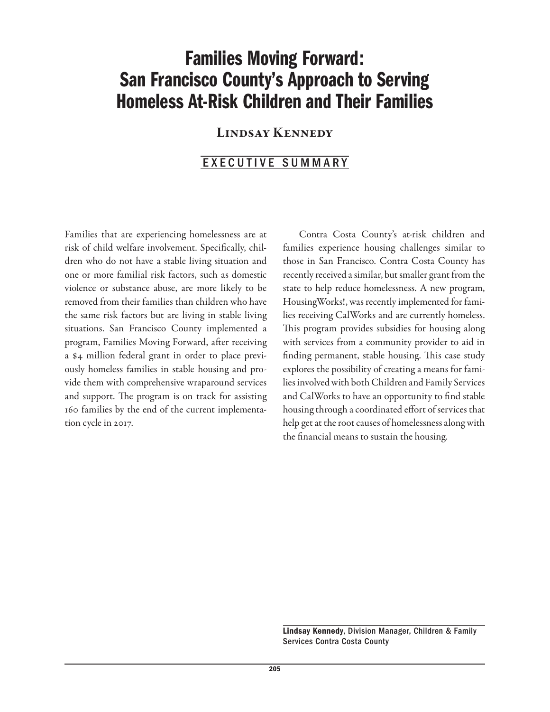## Families Moving Forward: San Francisco County's Approach to Serving Homeless At-Risk Children and Their Families

## Lindsay Kennedy

### EXECUTIVE SUMMARY

Families that are experiencing homelessness are at risk of child welfare involvement. Specifically, children who do not have a stable living situation and one or more familial risk factors, such as domestic violence or substance abuse, are more likely to be removed from their families than children who have the same risk factors but are living in stable living situations. San Francisco County implemented a program, Families Moving Forward, after receiving a \$4 million federal grant in order to place previously homeless families in stable housing and provide them with comprehensive wraparound services and support. The program is on track for assisting 160 families by the end of the current implementation cycle in 2017.

Contra Costa County's at-risk children and families experience housing challenges similar to those in San Francisco. Contra Costa County has recently received a similar, but smaller grant from the state to help reduce homelessness. A new program, HousingWorks!, was recently implemented for families receiving CalWorks and are currently homeless. This program provides subsidies for housing along with services from a community provider to aid in finding permanent, stable housing. This case study explores the possibility of creating a means for families involved with both Children and Family Services and CalWorks to have an opportunity to find stable housing through a coordinated effort of services that help get at the root causes of homelessness along with the financial means to sustain the housing.

Lindsay Kennedy, Division Manager, Children & Family Services Contra Costa County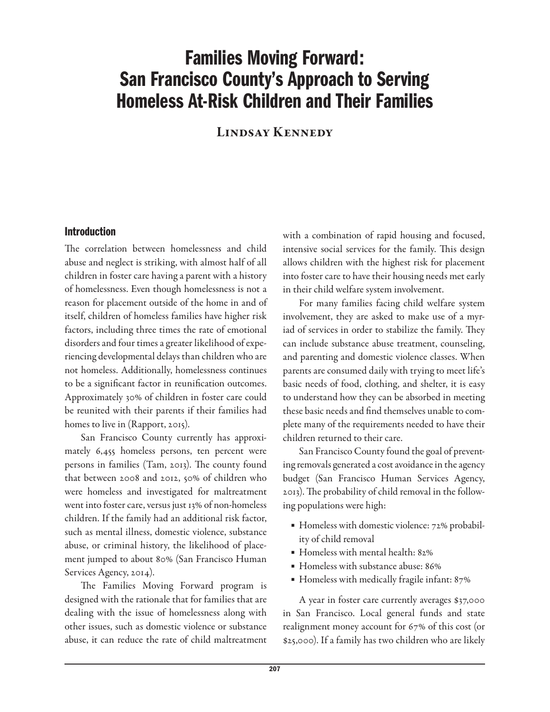# Families Moving Forward: San Francisco County's Approach to Serving Homeless At-Risk Children and Their Families

Lindsay Kennedy

### Introduction

The correlation between homelessness and child abuse and neglect is striking, with almost half of all children in foster care having a parent with a history of homelessness. Even though homelessness is not a reason for placement outside of the home in and of itself, children of homeless families have higher risk factors, including three times the rate of emotional disorders and four times a greater likelihood of experiencing developmental delays than children who are not homeless. Additionally, homelessness continues to be a significant factor in reunification outcomes. Approximately 30% of children in foster care could be reunited with their parents if their families had homes to live in (Rapport, 2015).

San Francisco County currently has approximately 6,455 homeless persons, ten percent were persons in families (Tam, 2013). The county found that between 2008 and 2012, 50% of children who were homeless and investigated for maltreatment went into foster care, versus just 13% of non-homeless children. If the family had an additional risk factor, such as mental illness, domestic violence, substance abuse, or criminal history, the likelihood of placement jumped to about 80% (San Francisco Human Services Agency, 2014).

The Families Moving Forward program is designed with the rationale that for families that are dealing with the issue of homelessness along with other issues, such as domestic violence or substance abuse, it can reduce the rate of child maltreatment with a combination of rapid housing and focused, intensive social services for the family. This design allows children with the highest risk for placement into foster care to have their housing needs met early in their child welfare system involvement.

For many families facing child welfare system involvement, they are asked to make use of a myriad of services in order to stabilize the family. They can include substance abuse treatment, counseling, and parenting and domestic violence classes. When parents are consumed daily with trying to meet life's basic needs of food, clothing, and shelter, it is easy to understand how they can be absorbed in meeting these basic needs and find themselves unable to complete many of the requirements needed to have their children returned to their care.

San Francisco County found the goal of preventing removals generated a cost avoidance in the agency budget (San Francisco Human Services Agency, 2013). The probability of child removal in the following populations were high:

- Homeless with domestic violence: 72% probability of child removal
- Homeless with mental health: 82%
- Homeless with substance abuse: 86%
- Homeless with medically fragile infant: 87%

A year in foster care currently averages \$37,000 in San Francisco. Local general funds and state realignment money account for 67% of this cost (or \$25,000). If a family has two children who are likely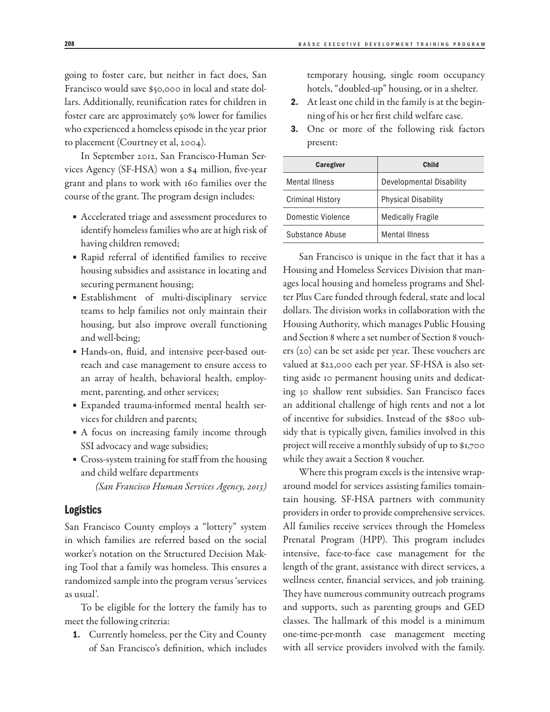going to foster care, but neither in fact does, San Francisco would save \$50,000 in local and state dollars. Additionally, reunification rates for children in foster care are approximately 50% lower for families who experienced a homeless episode in the year prior to placement (Courtney et al, 2004).

In September 2012, San Francisco-Human Services Agency (SF-HSA) won a \$4 million, five-year grant and plans to work with 160 families over the course of the grant. The program design includes:

- Accelerated triage and assessment procedures to identify homeless families who are at high risk of having children removed;
- Rapid referral of identified families to receive housing subsidies and assistance in locating and securing permanent housing;
- Establishment of multi-disciplinary service teams to help families not only maintain their housing, but also improve overall functioning and well-being;
- Hands-on, fluid, and intensive peer-based outreach and case management to ensure access to an array of health, behavioral health, employment, parenting, and other services;
- Expanded trauma-informed mental health services for children and parents;
- A focus on increasing family income through SSI advocacy and wage subsidies;
- Cross-system training for staff from the housing and child welfare departments

*(San Francisco Human Services Agency, 2013)*

#### Logistics

San Francisco County employs a "lottery" system in which families are referred based on the social worker's notation on the Structured Decision Making Tool that a family was homeless. This ensures a randomized sample into the program versus 'services as usual'.

To be eligible for the lottery the family has to meet the following criteria:

1. Currently homeless, per the City and County of San Francisco's definition, which includes temporary housing, single room occupancy hotels, "doubled-up" housing, or in a shelter.

- 2. At least one child in the family is at the beginning of his or her first child welfare case.
- 3. One or more of the following risk factors present:

| <b>Caregiver</b>        | Child                           |
|-------------------------|---------------------------------|
| <b>Mental Illness</b>   | <b>Developmental Disability</b> |
| <b>Criminal History</b> | <b>Physical Disability</b>      |
| Domestic Violence       | <b>Medically Fragile</b>        |
| Substance Abuse         | <b>Mental Illness</b>           |

San Francisco is unique in the fact that it has a Housing and Homeless Services Division that manages local housing and homeless programs and Shelter Plus Care funded through federal, state and local dollars. The division works in collaboration with the Housing Authority, which manages Public Housing and Section 8 where a set number of Section 8 vouchers (20) can be set aside per year. These vouchers are valued at \$22,000 each per year. SF-HSA is also setting aside 10 permanent housing units and dedicating 30 shallow rent subsidies. San Francisco faces an additional challenge of high rents and not a lot of incentive for subsidies. Instead of the \$800 subsidy that is typically given, families involved in this project will receive a monthly subsidy of up to \$1,700 while they await a Section 8 voucher.

Where this program excels is the intensive wraparound model for services assisting families tomaintain housing. SF-HSA partners with community providers in order to provide comprehensive services. All families receive services through the Homeless Prenatal Program (HPP). This program includes intensive, face-to-face case management for the length of the grant, assistance with direct services, a wellness center, financial services, and job training. They have numerous community outreach programs and supports, such as parenting groups and GED classes. The hallmark of this model is a minimum one-time-per-month case management meeting with all service providers involved with the family.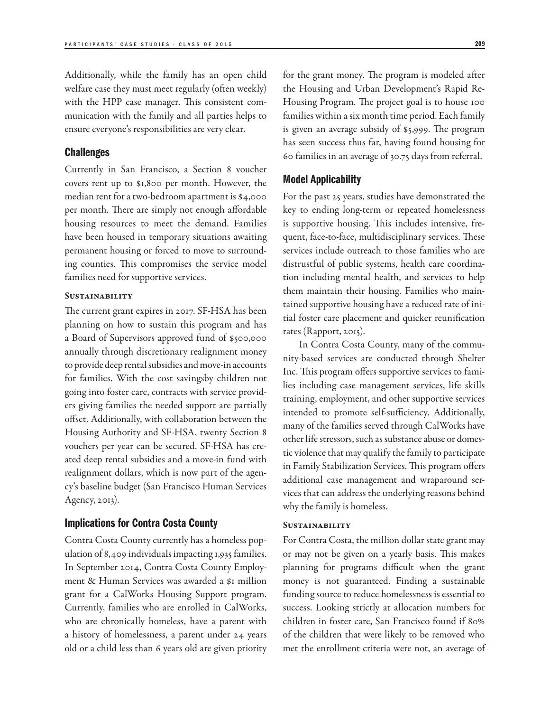Additionally, while the family has an open child welfare case they must meet regularly (often weekly) with the HPP case manager. This consistent communication with the family and all parties helps to ensure everyone's responsibilities are very clear.

#### **Challenges**

Currently in San Francisco, a Section 8 voucher covers rent up to \$1,800 per month. However, the median rent for a two-bedroom apartment is \$4,000 per month. There are simply not enough affordable housing resources to meet the demand. Families have been housed in temporary situations awaiting permanent housing or forced to move to surrounding counties. This compromises the service model families need for supportive services.

#### **SUSTAINABILITY**

The current grant expires in 2017. SF-HSA has been planning on how to sustain this program and has a Board of Supervisors approved fund of \$500,000 annually through discretionary realignment money to provide deep rental subsidies and move-in accounts for families. With the cost savingsby children not going into foster care, contracts with service providers giving families the needed support are partially offset. Additionally, with collaboration between the Housing Authority and SF-HSA, twenty Section 8 vouchers per year can be secured. SF-HSA has created deep rental subsidies and a move-in fund with realignment dollars, which is now part of the agency's baseline budget (San Francisco Human Services Agency, 2013).

#### Implications for Contra Costa County

Contra Costa County currently has a homeless population of 8,409 individuals impacting 1,935 families. In September 2014, Contra Costa County Employment & Human Services was awarded a \$1 million grant for a CalWorks Housing Support program. Currently, families who are enrolled in CalWorks, who are chronically homeless, have a parent with a history of homelessness, a parent under 24 years old or a child less than 6 years old are given priority

for the grant money. The program is modeled after the Housing and Urban Development's Rapid Re-Housing Program. The project goal is to house 100 families within a six month time period. Each family is given an average subsidy of \$5,999. The program has seen success thus far, having found housing for 60 families in an average of 30.75 days from referral.

#### Model Applicability

For the past 25 years, studies have demonstrated the key to ending long-term or repeated homelessness is supportive housing. This includes intensive, frequent, face-to-face, multidisciplinary services. These services include outreach to those families who are distrustful of public systems, health care coordination including mental health, and services to help them maintain their housing. Families who maintained supportive housing have a reduced rate of initial foster care placement and quicker reunification rates (Rapport, 2015).

In Contra Costa County, many of the community-based services are conducted through Shelter Inc. This program offers supportive services to families including case management services, life skills training, employment, and other supportive services intended to promote self-sufficiency. Additionally, many of the families served through CalWorks have other life stressors, such as substance abuse or domestic violence that may qualify the family to participate in Family Stabilization Services. This program offers additional case management and wraparound services that can address the underlying reasons behind why the family is homeless.

#### **SUSTAINABILITY**

For Contra Costa, the million dollar state grant may or may not be given on a yearly basis. This makes planning for programs difficult when the grant money is not guaranteed. Finding a sustainable funding source to reduce homelessness is essential to success. Looking strictly at allocation numbers for children in foster care, San Francisco found if 80% of the children that were likely to be removed who met the enrollment criteria were not, an average of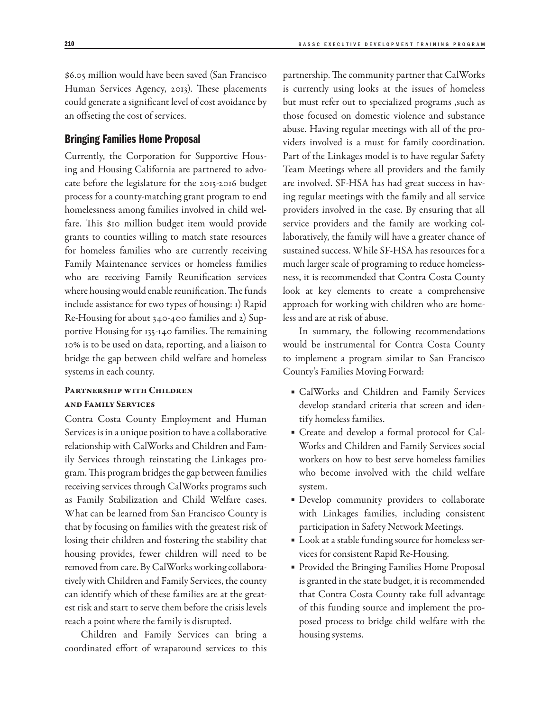\$6.05 million would have been saved (San Francisco Human Services Agency, 2013). These placements could generate a significant level of cost avoidance by an offseting the cost of services.

#### Bringing Families Home Proposal

Currently, the Corporation for Supportive Housing and Housing California are partnered to advocate before the legislature for the 2015-2016 budget process for a county-matching grant program to end homelessness among families involved in child welfare. This \$10 million budget item would provide grants to counties willing to match state resources for homeless families who are currently receiving Family Maintenance services or homeless families who are receiving Family Reunification services where housing would enable reunification. The funds include assistance for two types of housing: 1) Rapid Re-Housing for about 340-400 families and 2) Supportive Housing for 135-140 families. The remaining 10% is to be used on data, reporting, and a liaison to bridge the gap between child welfare and homeless systems in each county.

#### Partnership with Children and Family Services

Contra Costa County Employment and Human Services is in a unique position to have a collaborative relationship with CalWorks and Children and Family Services through reinstating the Linkages program. This program bridges the gap between families receiving services through CalWorks programs such as Family Stabilization and Child Welfare cases. What can be learned from San Francisco County is that by focusing on families with the greatest risk of losing their children and fostering the stability that housing provides, fewer children will need to be removed from care. By CalWorks working collaboratively with Children and Family Services, the county can identify which of these families are at the greatest risk and start to serve them before the crisis levels reach a point where the family is disrupted.

Children and Family Services can bring a coordinated effort of wraparound services to this partnership. The community partner that CalWorks is currently using looks at the issues of homeless but must refer out to specialized programs ,such as those focused on domestic violence and substance abuse. Having regular meetings with all of the providers involved is a must for family coordination. Part of the Linkages model is to have regular Safety Team Meetings where all providers and the family are involved. SF-HSA has had great success in having regular meetings with the family and all service providers involved in the case. By ensuring that all service providers and the family are working collaboratively, the family will have a greater chance of sustained success. While SF-HSA has resources for a much larger scale of programing to reduce homelessness, it is recommended that Contra Costa County look at key elements to create a comprehensive approach for working with children who are homeless and are at risk of abuse.

In summary, the following recommendations would be instrumental for Contra Costa County to implement a program similar to San Francisco County's Families Moving Forward:

- CalWorks and Children and Family Services develop standard criteria that screen and identify homeless families.
- Create and develop a formal protocol for Cal-Works and Children and Family Services social workers on how to best serve homeless families who become involved with the child welfare system.
- Develop community providers to collaborate with Linkages families, including consistent participation in Safety Network Meetings.
- Look at a stable funding source for homeless services for consistent Rapid Re-Housing.
- Provided the Bringing Families Home Proposal is granted in the state budget, it is recommended that Contra Costa County take full advantage of this funding source and implement the proposed process to bridge child welfare with the housing systems.